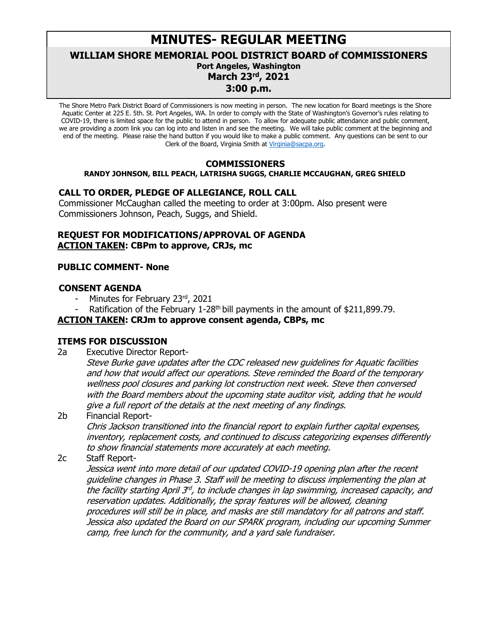# **MINUTES- REGULAR MEETING**

**WILLIAM SHORE MEMORIAL POOL DISTRICT BOARD of COMMISSIONERS**

# **Port Angeles, Washington**

**March 23rd, 2021**

# **3:00 p.m.**

The Shore Metro Park District Board of Commissioners is now meeting in person. The new location for Board meetings is the Shore Aquatic Center at 225 E. 5th. St. Port Angeles, WA. In order to comply with the State of Washington's Governor's rules relating to COVID-19, there is limited space for the public to attend in person. To allow for adequate public attendance and public comment, we are providing a zoom link you can log into and listen in and see the meeting. We will take public comment at the beginning and end of the meeting. Please raise the hand button if you would like to make a public comment. Any questions can be sent to our Clerk of the Board, Virginia Smith at [Virginia@sacpa.org.](javascript:void(0);)

# **COMMISSIONERS**

#### **RANDY JOHNSON, BILL PEACH, LATRISHA SUGGS, CHARLIE MCCAUGHAN, GREG SHIELD**

# **CALL TO ORDER, PLEDGE OF ALLEGIANCE, ROLL CALL**

Commissioner McCaughan called the meeting to order at 3:00pm. Also present were Commissioners Johnson, Peach, Suggs, and Shield.

# **REQUEST FOR MODIFICATIONS/APPROVAL OF AGENDA ACTION TAKEN: CBPm to approve, CRJs, mc**

#### **PUBLIC COMMENT- None**

# **CONSENT AGENDA**

- Minutes for February 23rd, 2021
- Ratification of the February 1-28<sup>th</sup> bill payments in the amount of \$211,899.79.

### **ACTION TAKEN: CRJm to approve consent agenda, CBPs, mc**

# **ITEMS FOR DISCUSSION**

- 2a Executive Director Report-
	- Steve Burke gave updates after the CDC released new guidelines for Aquatic facilities and how that would affect our operations. Steve reminded the Board of the temporary wellness pool closures and parking lot construction next week. Steve then conversed with the Board members about the upcoming state auditor visit, adding that he would give a full report of the details at the next meeting of any findings.
- 2b Financial Report-

Chris Jackson transitioned into the financial report to explain further capital expenses, inventory, replacement costs, and continued to discuss categorizing expenses differently to show financial statements more accurately at each meeting.

#### 2c Staff Report-

Jessica went into more detail of our updated COVID-19 opening plan after the recent guideline changes in Phase 3. Staff will be meeting to discuss implementing the plan at the facility starting April  $3^{d}$ , to include changes in lap swimming, increased capacity, and reservation updates. Additionally, the spray features will be allowed, cleaning procedures will still be in place, and masks are still mandatory for all patrons and staff. Jessica also updated the Board on our SPARK program, including our upcoming Summer camp, free lunch for the community, and a yard sale fundraiser.